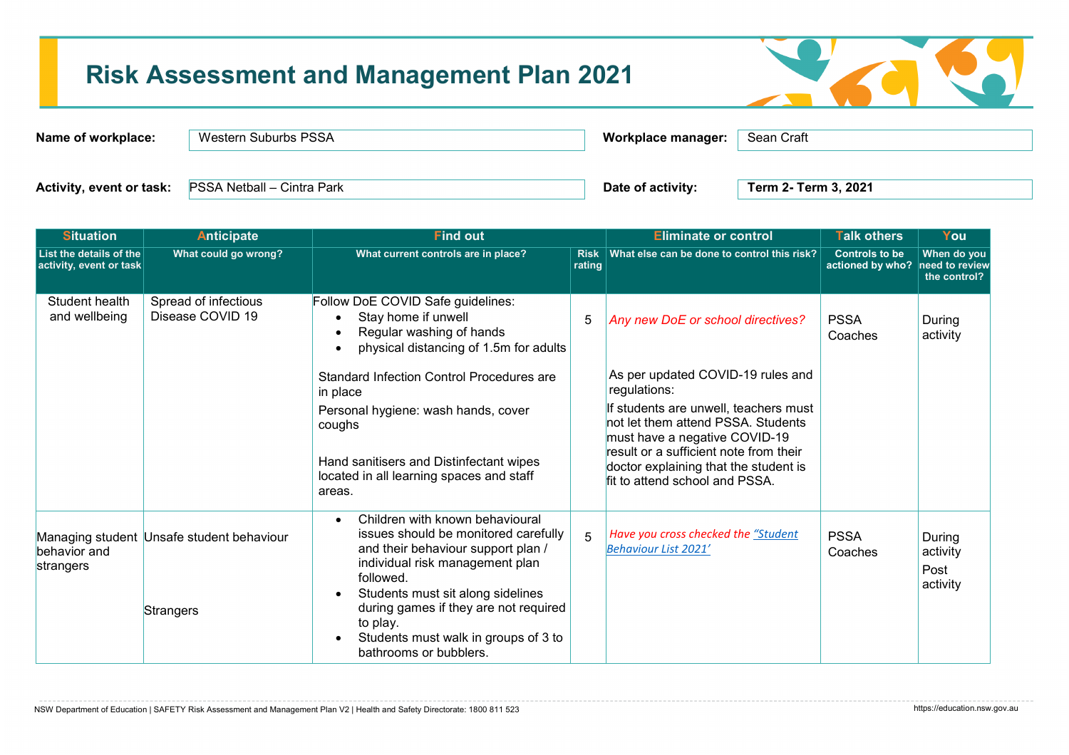# **Risk Assessment and Management Plan 2021**



| Name of workplace: | Western Suburbs PSSA                                  |                   | Sean Craft<br>Workplace manager: |  |
|--------------------|-------------------------------------------------------|-------------------|----------------------------------|--|
|                    |                                                       |                   |                                  |  |
|                    | Activity, event or task:   PSSA Netball - Cintra Park | Date of activity: | Term 2- Term 3, 2021             |  |

| <b>Situation</b>                                   | <b>Anticipate</b>                                      | <b>Find out</b>                                                                                                                                                                                                                                                                                                           |                       | <b>Eliminate or control</b>                                                                                                                                                                                                                       | <b>Talk others</b>                                       | You                                    |
|----------------------------------------------------|--------------------------------------------------------|---------------------------------------------------------------------------------------------------------------------------------------------------------------------------------------------------------------------------------------------------------------------------------------------------------------------------|-----------------------|---------------------------------------------------------------------------------------------------------------------------------------------------------------------------------------------------------------------------------------------------|----------------------------------------------------------|----------------------------------------|
| List the details of the<br>activity, event or task | What could go wrong?                                   | What current controls are in place?                                                                                                                                                                                                                                                                                       | <b>Risk</b><br>rating | What else can be done to control this risk?                                                                                                                                                                                                       | <b>Controls to be</b><br>actioned by who? need to review | When do you<br>the control?            |
| Student health<br>and wellbeing                    | Spread of infectious<br>Disease COVID 19               | Follow DoE COVID Safe guidelines:<br>Stay home if unwell<br>Regular washing of hands<br>physical distancing of 1.5m for adults<br><b>Standard Infection Control Procedures are</b>                                                                                                                                        | 5                     | Any new DoE or school directives?<br>As per updated COVID-19 rules and                                                                                                                                                                            | <b>PSSA</b><br>Coaches                                   | During<br>activity                     |
|                                                    |                                                        | in place<br>Personal hygiene: wash hands, cover<br>coughs<br>Hand sanitisers and Distinfectant wipes<br>located in all learning spaces and staff<br>areas.                                                                                                                                                                |                       | regulations:<br>If students are unwell, teachers must<br>not let them attend PSSA. Students<br>must have a negative COVID-19<br>result or a sufficient note from their<br>doctor explaining that the student is<br>fit to attend school and PSSA. |                                                          |                                        |
| behavior and<br>strangers                          | Managing student Unsafe student behaviour<br>Strangers | Children with known behavioural<br>issues should be monitored carefully<br>and their behaviour support plan /<br>individual risk management plan<br>followed.<br>Students must sit along sidelines<br>during games if they are not required<br>to play.<br>Students must walk in groups of 3 to<br>bathrooms or bubblers. | 5                     | Have you cross checked the "Student<br>Behaviour List 2021'                                                                                                                                                                                       | <b>PSSA</b><br>Coaches                                   | During<br>activity<br>Post<br>activity |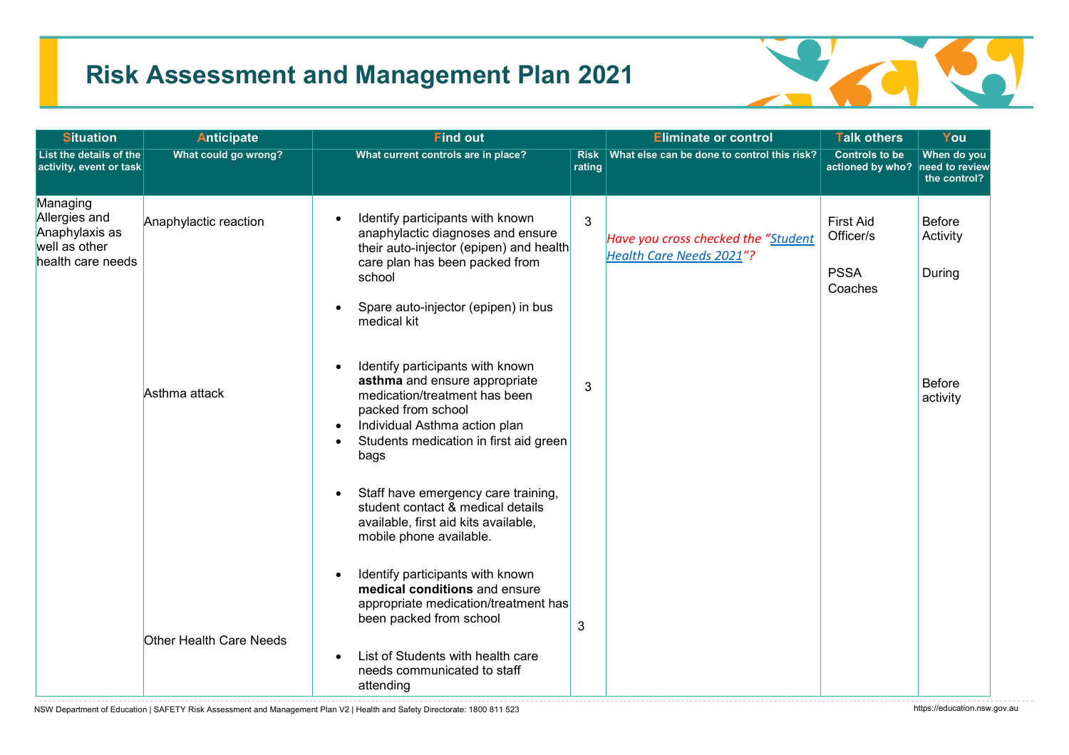## **Risk Assessment and Management Plan 2021**



| <b>Situation</b>                                                                  | <b>Anticipate</b>       | <b>Find out</b>                                                                                                                                                                                                                                    |                       | <b>Eliminate or control</b>                                     | <b>Talk others</b>                                       | You                                 |
|-----------------------------------------------------------------------------------|-------------------------|----------------------------------------------------------------------------------------------------------------------------------------------------------------------------------------------------------------------------------------------------|-----------------------|-----------------------------------------------------------------|----------------------------------------------------------|-------------------------------------|
| List the details of the<br>activity, event or task                                | What could go wrong?    | What current controls are in place?                                                                                                                                                                                                                | <b>Risk</b><br>rating | What else can be done to control this risk?                     | <b>Controls to be</b><br>actioned by who? need to review | When do you<br>the control?         |
| Managing<br>Allergies and<br>Anaphylaxis as<br>well as other<br>health care needs | Anaphylactic reaction   | Identify participants with known<br>$\bullet$<br>anaphylactic diagnoses and ensure<br>their auto-injector (epipen) and health<br>care plan has been packed from<br>school<br>Spare auto-injector (epipen) in bus<br>medical kit                    | $\mathbf{3}$          | Have you cross checked the "Student<br>Health Care Needs 2021"? | <b>First Aid</b><br>Officer/s<br><b>PSSA</b><br>Coaches  | <b>Before</b><br>Activity<br>During |
|                                                                                   | Asthma attack           | Identify participants with known<br>$\bullet$<br>asthma and ensure appropriate<br>medication/treatment has been<br>packed from school<br>Individual Asthma action plan<br>$\bullet$<br>Students medication in first aid green<br>$\bullet$<br>bags | 3                     |                                                                 |                                                          | <b>Before</b><br>activity           |
|                                                                                   |                         | Staff have emergency care training,<br>$\bullet$<br>student contact & medical details<br>available, first aid kits available,<br>mobile phone available.                                                                                           |                       |                                                                 |                                                          |                                     |
|                                                                                   | Other Health Care Needs | Identify participants with known<br>$\bullet$<br>medical conditions and ensure<br>appropriate medication/treatment has<br>been packed from school                                                                                                  | 3                     |                                                                 |                                                          |                                     |
|                                                                                   |                         | List of Students with health care<br>$\bullet$<br>needs communicated to staff<br>attending                                                                                                                                                         |                       |                                                                 |                                                          |                                     |

NSW Department of Education | SAFETY Risk Assessment and Management Plan V2 | Health and Safety Directorate: 1800 811 523 https://education.nsw.gov.au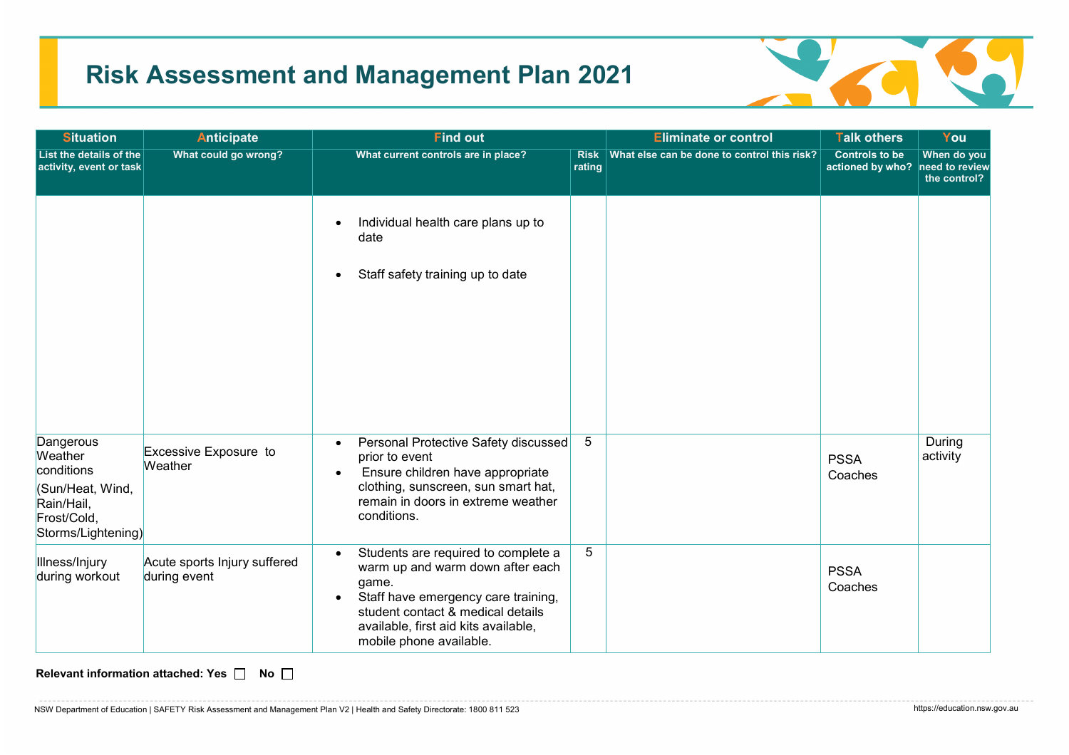## **Risk Assessment and Management Plan 2021**



| <b>Situation</b>                                                                                          | <b>Anticipate</b>                            | <b>Find out</b>                                                                                                                                                                                                                              |                       | <b>Eliminate or control</b>                 | <b>Talk others</b>                                       | You                         |
|-----------------------------------------------------------------------------------------------------------|----------------------------------------------|----------------------------------------------------------------------------------------------------------------------------------------------------------------------------------------------------------------------------------------------|-----------------------|---------------------------------------------|----------------------------------------------------------|-----------------------------|
| List the details of the<br>activity, event or task                                                        | What could go wrong?                         | What current controls are in place?                                                                                                                                                                                                          | <b>Risk</b><br>rating | What else can be done to control this risk? | <b>Controls to be</b><br>actioned by who? need to review | When do you<br>the control? |
|                                                                                                           |                                              | Individual health care plans up to<br>date<br>Staff safety training up to date                                                                                                                                                               |                       |                                             |                                                          |                             |
| Dangerous<br>Weather<br>conditions<br>(Sun/Heat, Wind,<br>Rain/Hail,<br>Frost/Cold,<br>Storms/Lightening) | Excessive Exposure to<br>Weather             | Personal Protective Safety discussed<br>prior to event<br>Ensure children have appropriate<br>$\bullet$<br>clothing, sunscreen, sun smart hat,<br>remain in doors in extreme weather<br>conditions.                                          | 5                     |                                             | <b>PSSA</b><br>Coaches                                   | During<br>activity          |
| Illness/Injury<br>during workout                                                                          | Acute sports Injury suffered<br>during event | Students are required to complete a<br>warm up and warm down after each<br>game.<br>Staff have emergency care training,<br>$\bullet$<br>student contact & medical details<br>available, first aid kits available,<br>mobile phone available. | 5                     |                                             | <b>PSSA</b><br>Coaches                                   |                             |

**Relevant information attached: Yes**  $\Box$  **No**  $\Box$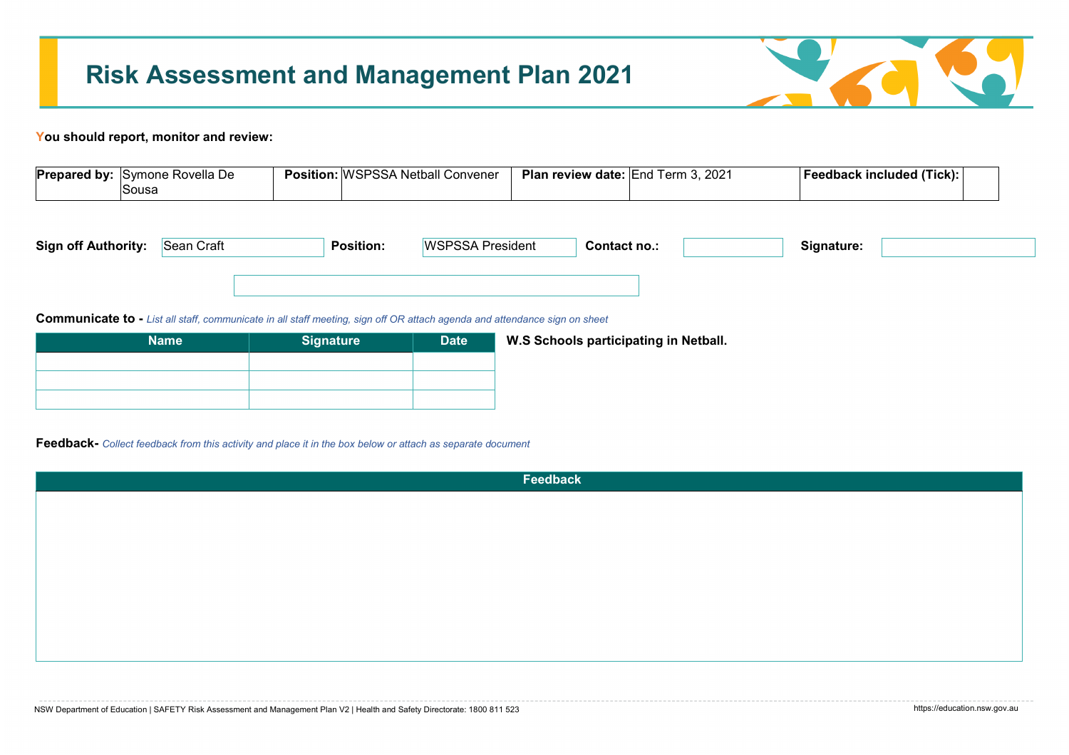

## **You should report, monitor and review:**

| <b>Prepared by:</b> | <b>ISvmone</b><br>: Rovella De | .<br><b>Position.</b> | .SPSSA<br>∵W<br>Netball<br>Convener | Plan⊥<br>i review date: IEnd i | 2021<br>l erm 3. | <b>Tick</b> ):<br>Feedback included |  |
|---------------------|--------------------------------|-----------------------|-------------------------------------|--------------------------------|------------------|-------------------------------------|--|
|                     | <b>Sous</b>                    |                       |                                     |                                |                  |                                     |  |

| <b>Sign off Authority:</b> | Sean Craft | <b>Position:</b> | <b>Example A</b> President | `ontact no.: | Signature: |  |
|----------------------------|------------|------------------|----------------------------|--------------|------------|--|
|                            |            |                  |                            |              |            |  |

**Communicate to -** *List all staff, communicate in all staff meeting, sign off OR attach agenda and attendance sign on sheet*

| <b>Signature</b> | <b>Date</b> | W.S Schools participating in Netball. |
|------------------|-------------|---------------------------------------|
|                  |             |                                       |
|                  |             |                                       |
|                  |             |                                       |
|                  |             |                                       |

**Feedback-** *Collect feedback from this activity and place it in the box below or attach as separate document* 

| Feedback |
|----------|
|          |
|          |
|          |
|          |
|          |
|          |
|          |